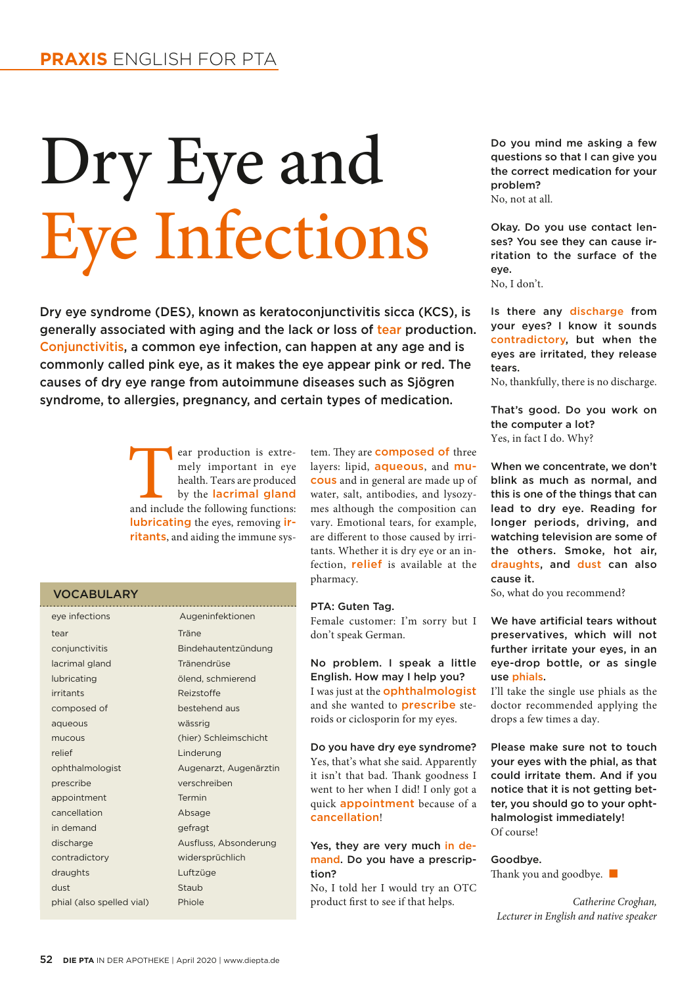# Dry Eye and Eye Infections

Dry eye syndrome (DES), known as keratoconjunctivitis sicca (KCS), is generally associated with aging and the lack or loss of tear production. Conjunctivitis, a common eye infection, can happen at any age and is commonly called pink eye, as it makes the eye appear pink or red. The causes of dry eye range from autoimmune diseases such as Sjögren syndrome, to allergies, pregnancy, and certain types of medication.

> ear production is extremely important in eye health. Tears are produced by the **lacrimal gland** and include the following functions: mely important in eye health. Tears are produced by the lacrimal gland lubricating the eyes, removing irritants, and aiding the immune sys-

### VOCABULARY

| eye infections            | Augeninfektionen       |
|---------------------------|------------------------|
| tear                      | Träne                  |
| conjunctivitis            | Bindehautentzündung    |
| lacrimal gland            | Tränendrüse            |
| lubricating               | ölend, schmierend      |
| irritants                 | Reizstoffe             |
| composed of               | bestehend aus          |
| aqueous                   | wässrig                |
| mucous                    | (hier) Schleimschicht  |
| relief                    | Linderung              |
| ophthalmologist           | Augenarzt, Augenärztin |
| prescribe                 | verschreiben           |
| appointment               | Termin                 |
| cancellation              | Absage                 |
| in demand                 | gefragt                |
| discharge                 | Ausfluss, Absonderung  |
| contradictory             | widersprüchlich        |
| draughts                  | Luftzüge               |
| dust                      | Staub                  |
| phial (also spelled vial) | Phiole                 |
|                           |                        |

tem. They are **composed** of three layers: lipid, aqueous, and mucous and in general are made up of water, salt, antibodies, and lysozymes although the composition can vary. Emotional tears, for example, are different to those caused by irritants. Whether it is dry eye or an infection, relief is available at the pharmacy.

### PTA: Guten Tag.

Female customer: I'm sorry but I don't speak German.

No problem. I speak a little English. How may I help you? I was just at the ophthalmologist and she wanted to prescribe steroids or ciclosporin for my eyes.

Do you have dry eye syndrome? Yes, that's what she said. Apparently it isn't that bad. Thank goodness I went to her when I did! I only got a quick appointment because of a cancellation!

## Yes, they are very much in demand. Do you have a prescription?

No, I told her I would try an OTC product first to see if that helps.

Do you mind me asking a few questions so that I can give you the correct medication for your problem? No, not at all.

Okay. Do you use contact lenses? You see they can cause irritation to the surface of the eye.

No, I don't.

Is there any discharge from your eyes? I know it sounds contradictory, but when the eyes are irritated, they release tears.

No, thankfully, there is no discharge.

That's good. Do you work on the computer a lot? Yes, in fact I do. Why?

When we concentrate, we don't blink as much as normal, and this is one of the things that can lead to dry eye. Reading for longer periods, driving, and watching television are some of the others. Smoke, hot air, draughts, and dust can also cause it.

So, what do you recommend?

We have artificial tears without preservatives, which will not further irritate your eyes, in an eye-drop bottle, or as single use phials.

I'll take the single use phials as the doctor recommended applying the drops a few times a day.

Please make sure not to touch your eyes with the phial, as that could irritate them. And if you notice that it is not getting better, you should go to your ophthalmologist immediately! Of course!

Goodbye. Thank you and goodbye.  $\Box$ 

*Catherine Croghan, Lecturer in English and native speaker*